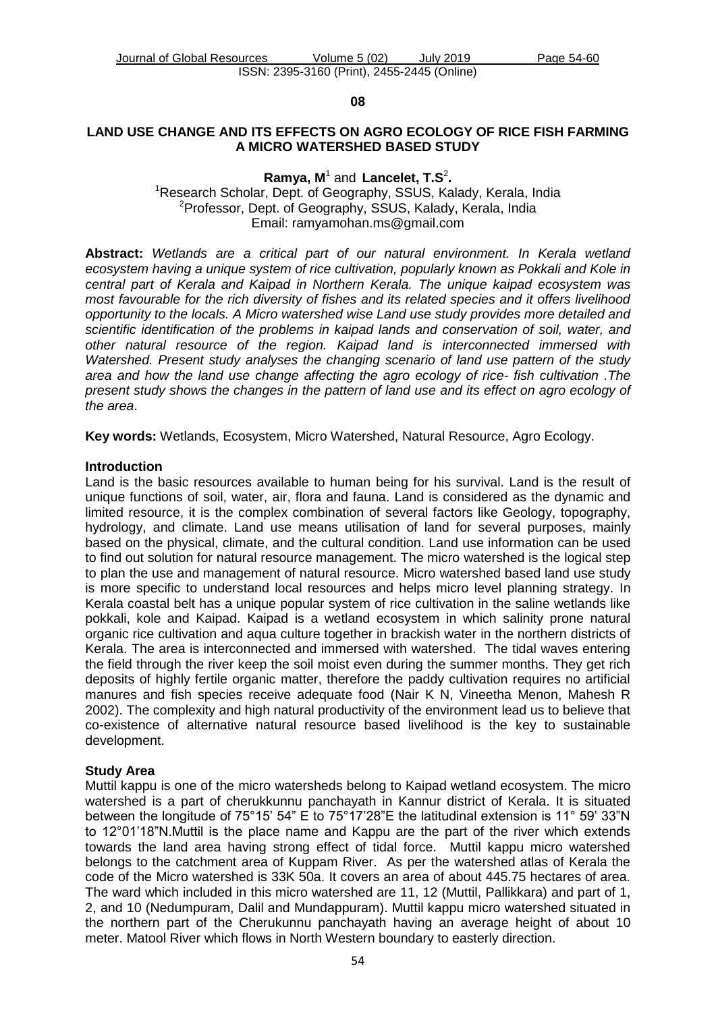#### **08**

### **LAND USE CHANGE AND ITS EFFECTS ON AGRO ECOLOGY OF RICE FISH FARMING A MICRO WATERSHED BASED STUDY**

### Ramya, M<sup>1</sup> and Lancelet, T.S<sup>2</sup>. <sup>1</sup>Research Scholar, Dept. of Geography, SSUS, Kalady, Kerala, India <sup>2</sup>Professor, Dept. of Geography, SSUS, Kalady, Kerala, India Email: [ramyamohan.ms@gmail.com](mailto:ramyamohan.ms@gmail.com)

**Abstract:** *Wetlands are a critical part of our natural environment. In Kerala wetland ecosystem having a unique system of rice cultivation, popularly known as Pokkali and Kole in central part of Kerala and Kaipad in Northern Kerala. The unique kaipad ecosystem was most favourable for the rich diversity of fishes and its related species and it offers livelihood opportunity to the locals. A Micro watershed wise Land use study provides more detailed and scientific identification of the problems in kaipad lands and conservation of soil, water, and other natural resource of the region. Kaipad land is interconnected immersed with Watershed. Present study analyses the changing scenario of land use pattern of the study area and how the land use change affecting the agro ecology of rice- fish cultivation .The present study shows the changes in the pattern of land use and its effect on agro ecology of the area*.

**Key words:** Wetlands, Ecosystem, Micro Watershed, Natural Resource, Agro Ecology.

### **Introduction**

Land is the basic resources available to human being for his survival. Land is the result of unique functions of soil, water, air, flora and fauna. Land is considered as the dynamic and limited resource, it is the complex combination of several factors like Geology, topography, hydrology, and climate. Land use means utilisation of land for several purposes, mainly based on the physical, climate, and the cultural condition. Land use information can be used to find out solution for natural resource management. The micro watershed is the logical step to plan the use and management of natural resource. Micro watershed based land use study is more specific to understand local resources and helps micro level planning strategy. In Kerala coastal belt has a unique popular system of rice cultivation in the saline wetlands like pokkali, kole and Kaipad. Kaipad is a wetland ecosystem in which salinity prone natural organic rice cultivation and aqua culture together in brackish water in the northern districts of Kerala. The area is interconnected and immersed with watershed. The tidal waves entering the field through the river keep the soil moist even during the summer months. They get rich deposits of highly fertile organic matter, therefore the paddy cultivation requires no artificial manures and fish species receive adequate food (Nair K N, Vineetha Menon, Mahesh R 2002). The complexity and high natural productivity of the environment lead us to believe that co-existence of alternative natural resource based livelihood is the key to sustainable development.

### **Study Area**

Muttil kappu is one of the micro watersheds belong to Kaipad wetland ecosystem. The micro watershed is a part of cherukkunnu panchayath in Kannur district of Kerala. It is situated between the longitude of 75°15' 54" E to 75°17'28"E the latitudinal extension is 11° 59' 33"N to 12°01'18"N.Muttil is the place name and Kappu are the part of the river which extends towards the land area having strong effect of tidal force. Muttil kappu micro watershed belongs to the catchment area of Kuppam River. As per the watershed atlas of Kerala the code of the Micro watershed is 33K 50a. It covers an area of about 445.75 hectares of area. The ward which included in this micro watershed are 11, 12 (Muttil, Pallikkara) and part of 1, 2, and 10 (Nedumpuram, Dalil and Mundappuram). Muttil kappu micro watershed situated in the northern part of the Cherukunnu panchayath having an average height of about 10 meter. Matool River which flows in North Western boundary to easterly direction.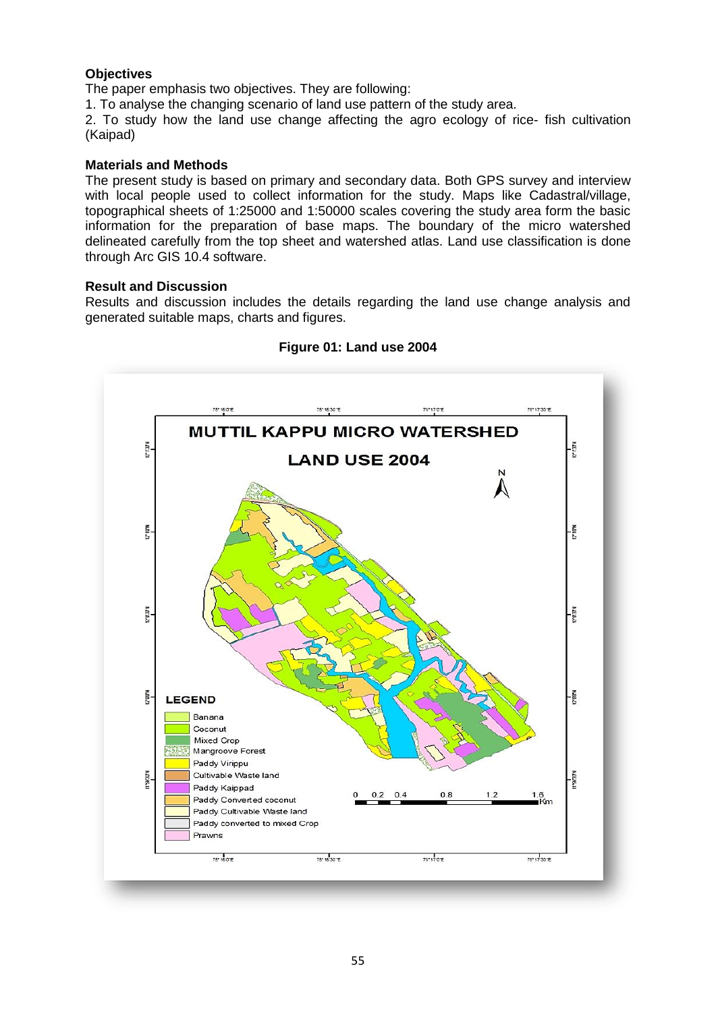### **Objectives**

The paper emphasis two objectives. They are following:

1. To analyse the changing scenario of land use pattern of the study area.

2. To study how the land use change affecting the agro ecology of rice- fish cultivation (Kaipad)

### **Materials and Methods**

The present study is based on primary and secondary data. Both GPS survey and interview with local people used to collect information for the study. Maps like Cadastral/village, topographical sheets of 1:25000 and 1:50000 scales covering the study area form the basic information for the preparation of base maps. The boundary of the micro watershed delineated carefully from the top sheet and watershed atlas. Land use classification is done through Arc GIS 10.4 software.

### **Result and Discussion**

Results and discussion includes the details regarding the land use change analysis and generated suitable maps, charts and figures.



### **Figure 01: Land use 2004**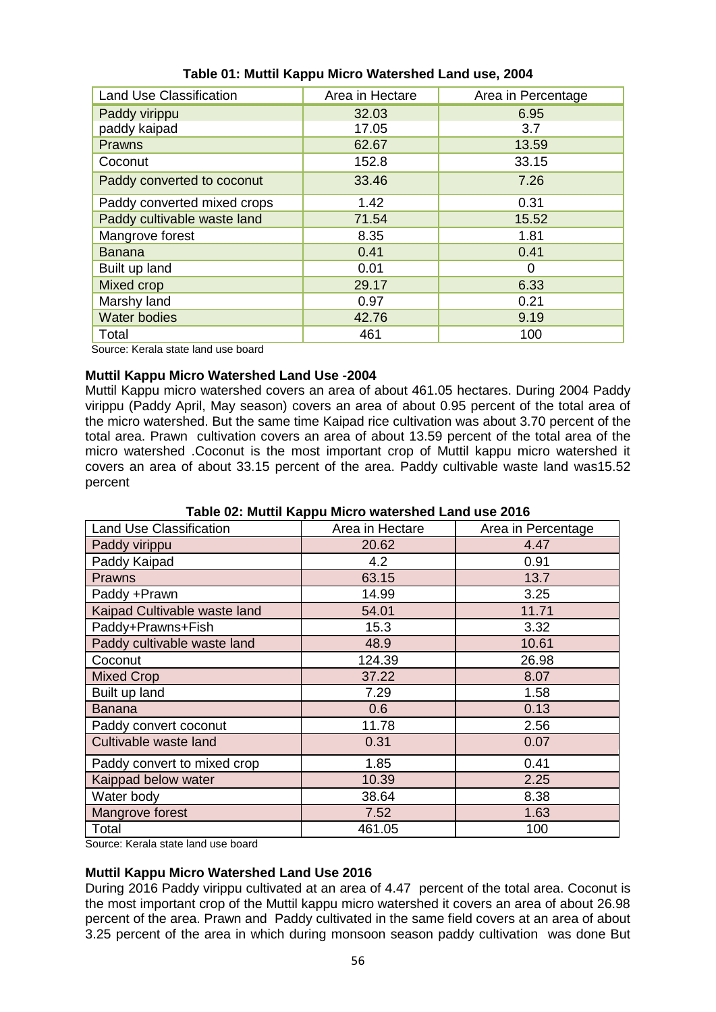| <b>Land Use Classification</b> | Area in Hectare | Area in Percentage |  |
|--------------------------------|-----------------|--------------------|--|
| Paddy virippu                  | 32.03           | 6.95               |  |
| paddy kaipad                   | 17.05           | 3.7                |  |
| <b>Prawns</b>                  | 62.67           | 13.59              |  |
| Coconut                        | 152.8           | 33.15              |  |
| Paddy converted to coconut     | 33.46           | 7.26               |  |
| Paddy converted mixed crops    | 1.42            | 0.31               |  |
| Paddy cultivable waste land    | 71.54           | 15.52              |  |
| Mangrove forest                | 8.35            | 1.81               |  |
| <b>Banana</b>                  | 0.41            | 0.41               |  |
| Built up land                  | 0.01            | 0                  |  |
| Mixed crop                     | 29.17           | 6.33               |  |
| Marshy land                    | 0.97            | 0.21               |  |
| <b>Water bodies</b>            | 42.76<br>9.19   |                    |  |
| Total                          | 461<br>100      |                    |  |

# **Table 01: Muttil Kappu Micro Watershed Land use, 2004**

Source: Kerala state land use board

## **Muttil Kappu Micro Watershed Land Use -2004**

Muttil Kappu micro watershed covers an area of about 461.05 hectares. During 2004 Paddy virippu (Paddy April, May season) covers an area of about 0.95 percent of the total area of the micro watershed. But the same time Kaipad rice cultivation was about 3.70 percent of the total area. Prawn cultivation covers an area of about 13.59 percent of the total area of the micro watershed .Coconut is the most important crop of Muttil kappu micro watershed it covers an area of about 33.15 percent of the area. Paddy cultivable waste land was15.52 percent

| <b>Land Use Classification</b>               | Area in Hectare | Area in Percentage |  |  |  |  |
|----------------------------------------------|-----------------|--------------------|--|--|--|--|
| Paddy virippu                                | 20.62           | 4.47               |  |  |  |  |
| Paddy Kaipad                                 | 4.2             | 0.91               |  |  |  |  |
| Prawns                                       | 63.15           | 13.7               |  |  |  |  |
| Paddy +Prawn                                 | 14.99           | 3.25               |  |  |  |  |
| Kaipad Cultivable waste land                 | 54.01           | 11.71              |  |  |  |  |
| Paddy+Prawns+Fish                            | 15.3            | 3.32               |  |  |  |  |
| Paddy cultivable waste land                  | 48.9            | 10.61              |  |  |  |  |
| Coconut                                      | 124.39          | 26.98              |  |  |  |  |
| <b>Mixed Crop</b>                            | 37.22           | 8.07               |  |  |  |  |
| Built up land                                | 7.29            | 1.58               |  |  |  |  |
| <b>Banana</b>                                | 0.6             | 0.13               |  |  |  |  |
| Paddy convert coconut                        | 11.78           | 2.56               |  |  |  |  |
| Cultivable waste land                        | 0.31            | 0.07               |  |  |  |  |
| Paddy convert to mixed crop                  | 1.85            | 0.41               |  |  |  |  |
| Kaippad below water                          | 10.39           | 2.25               |  |  |  |  |
| Water body                                   | 38.64           | 8.38               |  |  |  |  |
| Mangrove forest                              | 7.52            | 1.63               |  |  |  |  |
| Total                                        | 461.05          | 100                |  |  |  |  |
| and IV and a late to the sold come to a most |                 |                    |  |  |  |  |

## **Table 02: Muttil Kappu Micro watershed Land use 2016**

Source: Kerala state land use board

# **Muttil Kappu Micro Watershed Land Use 2016**

During 2016 Paddy virippu cultivated at an area of 4.47 percent of the total area. Coconut is the most important crop of the Muttil kappu micro watershed it covers an area of about 26.98 percent of the area. Prawn and Paddy cultivated in the same field covers at an area of about 3.25 percent of the area in which during monsoon season paddy cultivation was done But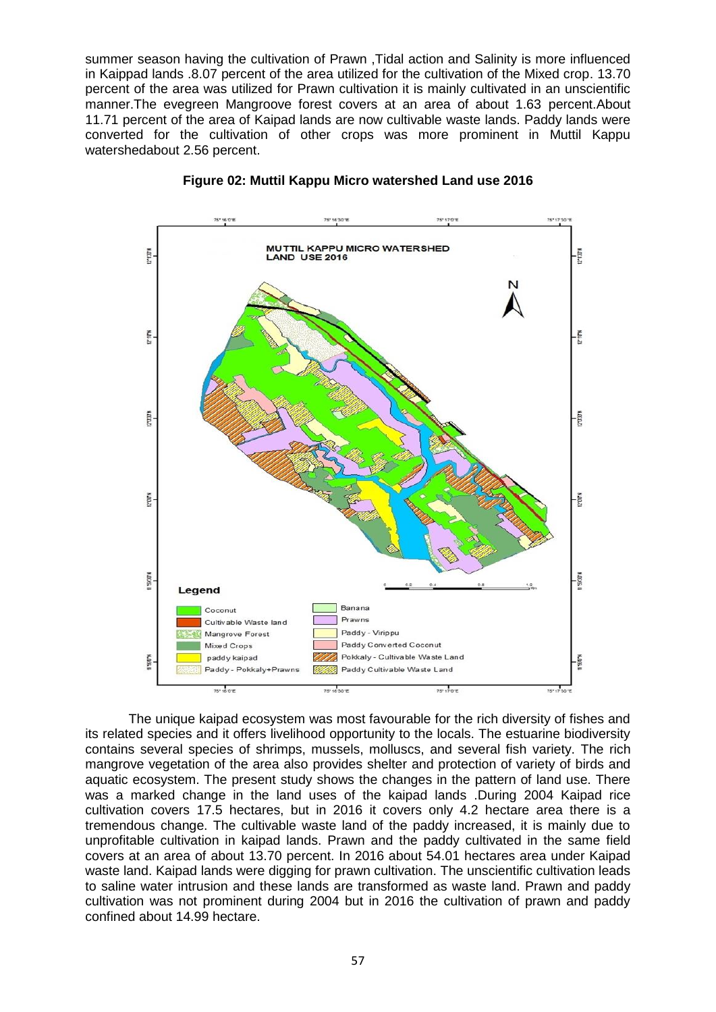summer season having the cultivation of Prawn ,Tidal action and Salinity is more influenced in Kaippad lands .8.07 percent of the area utilized for the cultivation of the Mixed crop. 13.70 percent of the area was utilized for Prawn cultivation it is mainly cultivated in an unscientific manner.The evegreen Mangroove forest covers at an area of about 1.63 percent.About 11.71 percent of the area of Kaipad lands are now cultivable waste lands. Paddy lands were converted for the cultivation of other crops was more prominent in Muttil Kappu watershedabout 2.56 percent.





The unique kaipad ecosystem was most favourable for the rich diversity of fishes and its related species and it offers livelihood opportunity to the locals. The estuarine biodiversity contains several species of shrimps, mussels, molluscs, and several fish variety. The rich mangrove vegetation of the area also provides shelter and protection of variety of birds and aquatic ecosystem. The present study shows the changes in the pattern of land use. There was a marked change in the land uses of the kaipad lands .During 2004 Kaipad rice cultivation covers 17.5 hectares, but in 2016 it covers only 4.2 hectare area there is a tremendous change. The cultivable waste land of the paddy increased, it is mainly due to unprofitable cultivation in kaipad lands. Prawn and the paddy cultivated in the same field covers at an area of about 13.70 percent. In 2016 about 54.01 hectares area under Kaipad waste land. Kaipad lands were digging for prawn cultivation. The unscientific cultivation leads to saline water intrusion and these lands are transformed as waste land. Prawn and paddy cultivation was not prominent during 2004 but in 2016 the cultivation of prawn and paddy confined about 14.99 hectare.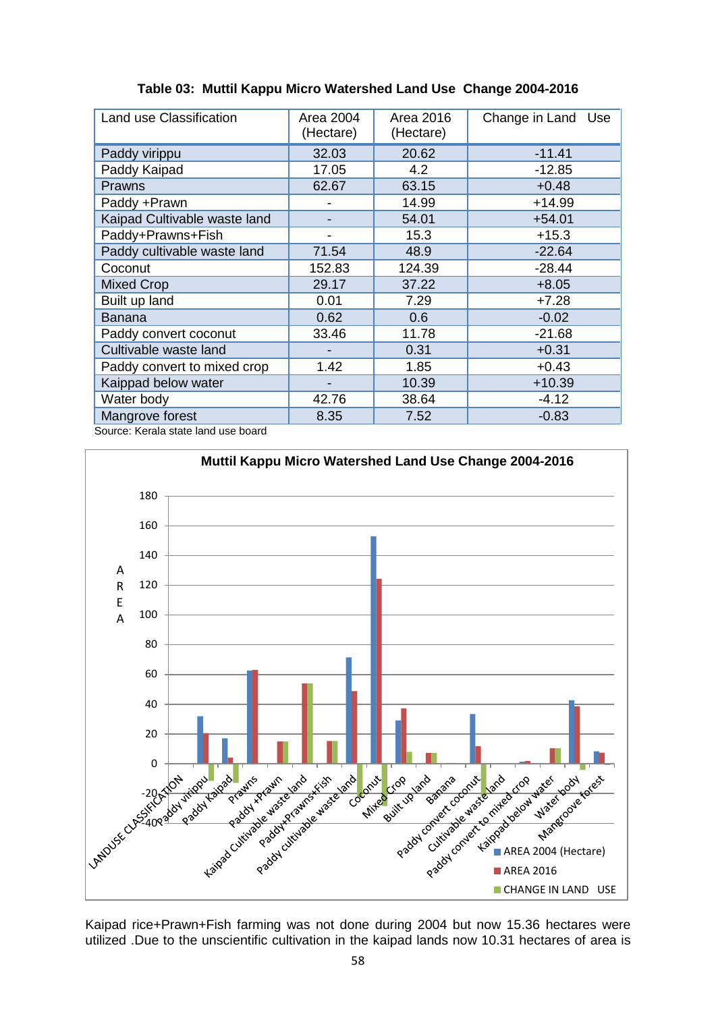| Land use Classification      | Area 2004<br>(Hectare) | Area 2016<br>(Hectare) | Change in Land Use |
|------------------------------|------------------------|------------------------|--------------------|
| Paddy virippu                | 32.03                  | 20.62                  | $-11.41$           |
| Paddy Kaipad                 | 17.05                  | 4.2                    | $-12.85$           |
| Prawns                       | 62.67                  | 63.15                  | $+0.48$            |
| Paddy +Prawn                 |                        | 14.99                  | $+14.99$           |
| Kaipad Cultivable waste land |                        | 54.01                  | $+54.01$           |
| Paddy+Prawns+Fish            |                        | 15.3                   | $+15.3$            |
| Paddy cultivable waste land  | 71.54                  | 48.9                   | $-22.64$           |
| Coconut                      | 152.83                 | 124.39                 | $-28.44$           |
| Mixed Crop                   | 29.17                  | 37.22                  | $+8.05$            |
| Built up land                | 0.01                   | 7.29                   | $+7.28$            |
| <b>Banana</b>                | 0.62                   | 0.6                    | $-0.02$            |
| Paddy convert coconut        | 33.46                  | 11.78                  | $-21.68$           |
| Cultivable waste land        |                        | 0.31                   | $+0.31$            |
| Paddy convert to mixed crop  | 1.42                   | 1.85                   | $+0.43$            |
| Kaippad below water          | -                      | 10.39                  | $+10.39$           |
| Water body                   | 42.76                  | 38.64                  | $-4.12$            |
| Mangrove forest              | 8.35                   | 7.52                   | $-0.83$            |

**Table 03: Muttil Kappu Micro Watershed Land Use Change 2004-2016**

Source: Kerala state land use board



Kaipad rice+Prawn+Fish farming was not done during 2004 but now 15.36 hectares were utilized .Due to the unscientific cultivation in the kaipad lands now 10.31 hectares of area is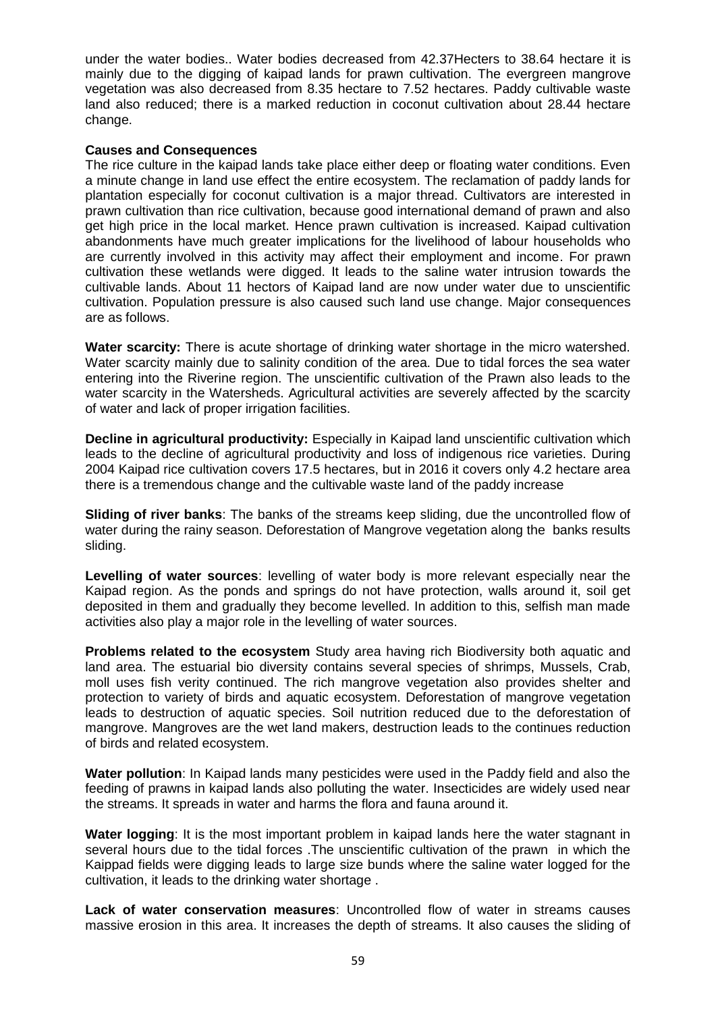under the water bodies.. Water bodies decreased from 42.37Hecters to 38.64 hectare it is mainly due to the digging of kaipad lands for prawn cultivation. The evergreen mangrove vegetation was also decreased from 8.35 hectare to 7.52 hectares. Paddy cultivable waste land also reduced; there is a marked reduction in coconut cultivation about 28.44 hectare change.

### **Causes and Consequences**

The rice culture in the kaipad lands take place either deep or floating water conditions. Even a minute change in land use effect the entire ecosystem. The reclamation of paddy lands for plantation especially for coconut cultivation is a major thread. Cultivators are interested in prawn cultivation than rice cultivation, because good international demand of prawn and also get high price in the local market. Hence prawn cultivation is increased. Kaipad cultivation abandonments have much greater implications for the livelihood of labour households who are currently involved in this activity may affect their employment and income. For prawn cultivation these wetlands were digged. It leads to the saline water intrusion towards the cultivable lands. About 11 hectors of Kaipad land are now under water due to unscientific cultivation. Population pressure is also caused such land use change. Major consequences are as follows.

**Water scarcity:** There is acute shortage of drinking water shortage in the micro watershed. Water scarcity mainly due to salinity condition of the area. Due to tidal forces the sea water entering into the Riverine region. The unscientific cultivation of the Prawn also leads to the water scarcity in the Watersheds. Agricultural activities are severely affected by the scarcity of water and lack of proper irrigation facilities.

**Decline in agricultural productivity:** Especially in Kaipad land unscientific cultivation which leads to the decline of agricultural productivity and loss of indigenous rice varieties. During 2004 Kaipad rice cultivation covers 17.5 hectares, but in 2016 it covers only 4.2 hectare area there is a tremendous change and the cultivable waste land of the paddy increase

**Sliding of river banks**: The banks of the streams keep sliding, due the uncontrolled flow of water during the rainy season. Deforestation of Mangrove vegetation along the banks results sliding.

**Levelling of water sources**: levelling of water body is more relevant especially near the Kaipad region. As the ponds and springs do not have protection, walls around it, soil get deposited in them and gradually they become levelled. In addition to this, selfish man made activities also play a major role in the levelling of water sources.

**Problems related to the ecosystem** Study area having rich Biodiversity both aquatic and land area. The estuarial bio diversity contains several species of shrimps, Mussels, Crab, moll uses fish verity continued. The rich mangrove vegetation also provides shelter and protection to variety of birds and aquatic ecosystem. Deforestation of mangrove vegetation leads to destruction of aquatic species. Soil nutrition reduced due to the deforestation of mangrove. Mangroves are the wet land makers, destruction leads to the continues reduction of birds and related ecosystem.

**Water pollution**: In Kaipad lands many pesticides were used in the Paddy field and also the feeding of prawns in kaipad lands also polluting the water. Insecticides are widely used near the streams. It spreads in water and harms the flora and fauna around it.

**Water logging**: It is the most important problem in kaipad lands here the water stagnant in several hours due to the tidal forces .The unscientific cultivation of the prawn in which the Kaippad fields were digging leads to large size bunds where the saline water logged for the cultivation, it leads to the drinking water shortage .

**Lack of water conservation measures**: Uncontrolled flow of water in streams causes massive erosion in this area. It increases the depth of streams. It also causes the sliding of